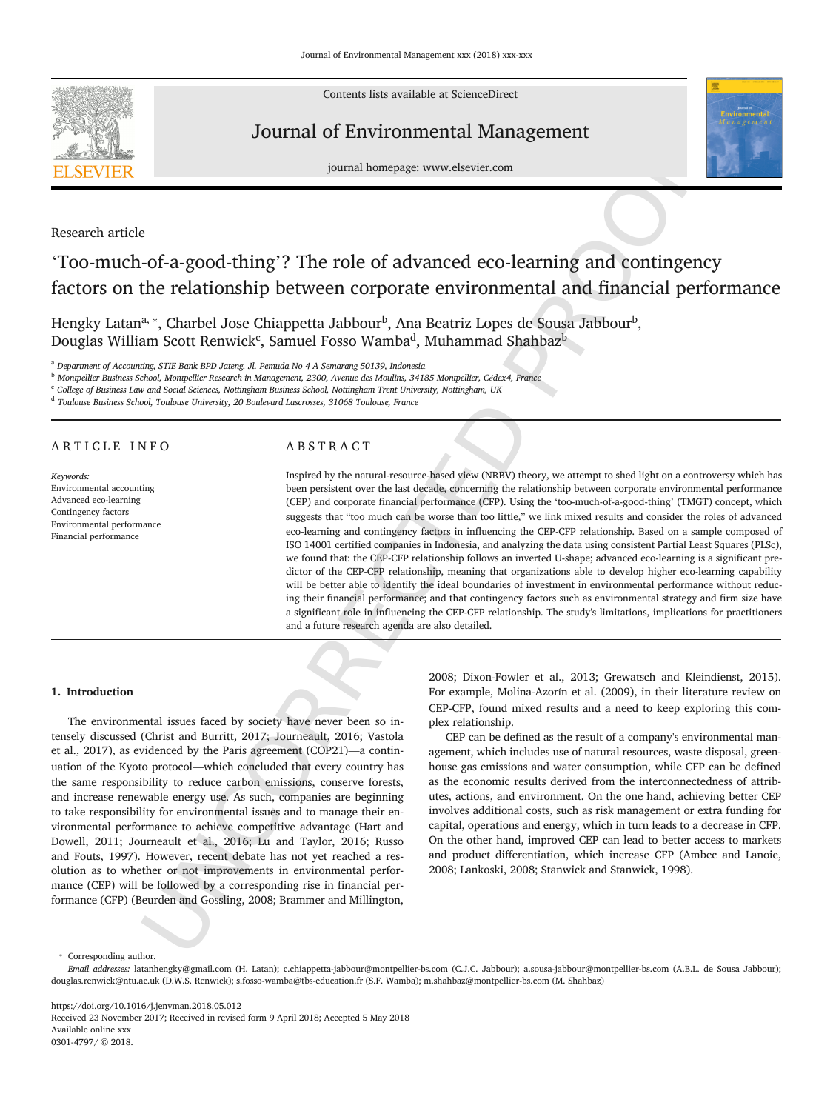

Contents lists available at ScienceDirect

# Journal of Environmental Management



journal homepage: www.elsevier.com

## Research article

# 'Too-much-of-a-good-thing'? The role of advanced eco-learning and contingency factors on the relationship between corporate environmental and financial performance

Hengky Latan<sup>a,</sup> \*, Charbel Jose Chiappetta Jabbour<sup>b</sup>, Ana Beatriz Lopes de Sousa Jabbour<sup>b</sup>, Douglas William Scott Renwick<sup>c</sup>, Samuel Fosso Wamba<sup>d</sup>, Muhammad Shahbaz<sup>b</sup>

<sup>a</sup> *Department of Accounting, STIE Bank BPD Jateng, Jl. Pemuda No 4 A Semarang 50139, Indonesia*

b Montpellier Business School, Montpellier Research in Management, 2300, Avenue des Moulins, 34185 Montpellier, Cédex4, France

<sup>c</sup> *College of Business Law and Social Sciences, Nottingham Business School, Nottingham Trent University, Nottingham, UK*

d *Toulouse Business School, Toulouse University, 20 Boulevard Lascrosses, 31068 Toulouse, France*

## ARTICLE INFO

*Keywords:* Environmental accounting Advanced eco-learning Contingency factors Environmental performance Financial performance

## ABSTRACT

beamst homepage www.elenvirr.com<br>
2<br>
beamst homepage www.elenvirr.com<br>
2<br>
cord-R-3 cond-thing <sup>2</sup> ? The role of advanced eco-learning and contingency<br>
<sup>1</sup> characted loce Chingertets Jabbour<sup>1</sup>, Andre Beatting Loce Chinger Inspired by the natural-resource-based view (NRBV) theory, we attempt to shed light on a controversy which has been persistent over the last decade, concerning the relationship between corporate environmental performance (CEP) and corporate financial performance (CFP). Using the 'too-much-of-a-good-thing' (TMGT) concept, which suggests that "too much can be worse than too little," we link mixed results and consider the roles of advanced eco-learning and contingency factors in influencing the CEP-CFP relationship. Based on a sample composed of ISO 14001 certified companies in Indonesia, and analyzing the data using consistent Partial Least Squares (PLSc), we found that: the CEP-CFP relationship follows an inverted U-shape; advanced eco-learning is a significant predictor of the CEP-CFP relationship, meaning that organizations able to develop higher eco-learning capability will be better able to identify the ideal boundaries of investment in environmental performance without reducing their financial performance; and that contingency factors such as environmental strategy and firm size have a significant role in influencing the CEP-CFP relationship. The study's limitations, implications for practitioners and a future research agenda are also detailed.

## **1. Introduction**

The environmental issues faced by society have never been so intensely discussed (Christ and Burritt, 2017; Journeault, 2016; Vastola et al., 2017), as evidenced by the Paris agreement (COP21)—a continuation of the Kyoto protocol—which concluded that every country has the same responsibility to reduce carbon emissions, conserve forests, and increase renewable energy use. As such, companies are beginning to take responsibility for environmental issues and to manage their environmental performance to achieve competitive advantage (Hart and Dowell, 2011; Journeault et al., 2016; Lu and Taylor, 2016; Russo and Fouts, 1997). However, recent debate has not yet reached a resolution as to whether or not improvements in environmental performance (CEP) will be followed by a corresponding rise in financial performance (CFP) (Beurden and Gossling, 2008; Brammer and Millington,

2008; Dixon-Fowler et al., 2013; Grewatsch and Kleindienst, 2015). For example, Molina-Azorín et al. (2009), in their literature review on CEP-CFP, found mixed results and a need to keep exploring this complex relationship.

CEP can be defined as the result of a company's environmental management, which includes use of natural resources, waste disposal, greenhouse gas emissions and water consumption, while CFP can be defined as the economic results derived from the interconnectedness of attributes, actions, and environment. On the one hand, achieving better CEP involves additional costs, such as risk management or extra funding for capital, operations and energy, which in turn leads to a decrease in CFP. On the other hand, improved CEP can lead to better access to markets and product differentiation, which increase CFP (Ambec and Lanoie, 2008; Lankoski, 2008; Stanwick and Stanwick, 1998).

Corresponding author.

https://doi.org/10.1016/j.jenvman.2018.05.012

*Email addresses:* latanhengky@gmail.com (H. Latan); c.chiappetta-jabbour@montpellier-bs.com (C.J.C. Jabbour); a.sousa-jabbour@montpellier-bs.com (A.B.L. de Sousa Jabbour); douglas.renwick@ntu.ac.uk (D.W.S. Renwick); s.fosso-wamba@tbs-education.fr (S.F. Wamba); m.shahbaz@montpellier-bs.com (M. Shahbaz)

Received 23 November 2017; Received in revised form 9 April 2018; Accepted 5 May 2018 Available online xxx 0301-4797/ © 2018.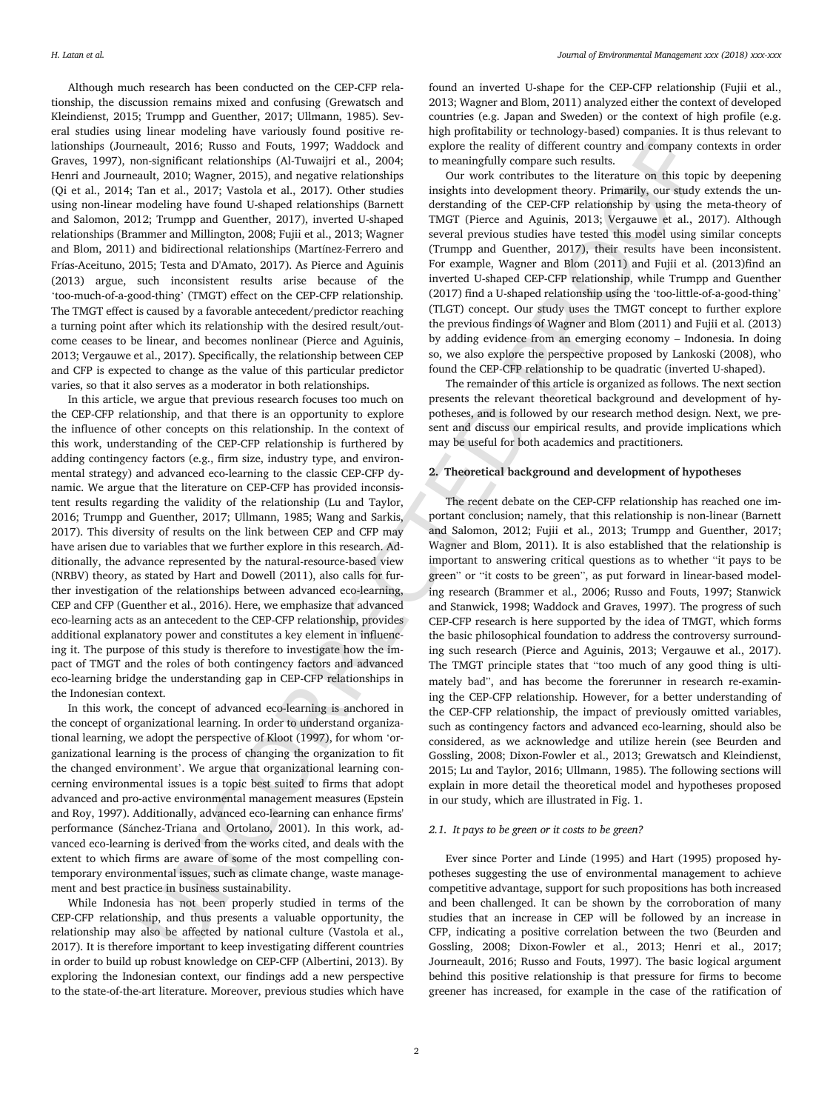Although much research has been conducted on the CEP-CFP relationship, the discussion remains mixed and confusing (Grewatsch and Kleindienst, 2015; Trumpp and Guenther, 2017; Ullmann, 1985). Several studies using linear modeling have variously found positive relationships (Journeault, 2016; Russo and Fouts, 1997; Waddock and Graves, 1997), non-significant relationships (Al-Tuwaijri et al., 2004; Henri and Journeault, 2010; Wagner, 2015), and negative relationships (Qi et al., 2014; Tan et al., 2017; Vastola et al., 2017). Other studies using non-linear modeling have found U-shaped relationships (Barnett and Salomon, 2012; Trumpp and Guenther, 2017), inverted U-shaped relationships (Brammer and Millington, 2008; Fujii et al., 2013; Wagner and Blom, 2011) and bidirectional relationships (Martínez-Ferrero and Frías-Aceituno, 2015; Testa and D'Amato, 2017). As Pierce and Aguinis (2013) argue, such inconsistent results arise because of the 'too-much-of-a-good-thing' (TMGT) effect on the CEP-CFP relationship. The TMGT effect is caused by a favorable antecedent/predictor reaching a turning point after which its relationship with the desired result/outcome ceases to be linear, and becomes nonlinear (Pierce and Aguinis, 2013; Vergauwe et al., 2017). Specifically, the relationship between CEP and CFP is expected to change as the value of this particular predictor varies, so that it also serves as a moderator in both relationships.

In this article, we argue that previous research focuses too much on the CEP-CFP relationship, and that there is an opportunity to explore the influence of other concepts on this relationship. In the context of this work, understanding of the CEP-CFP relationship is furthered by adding contingency factors (e.g., firm size, industry type, and environmental strategy) and advanced eco-learning to the classic CEP-CFP dynamic. We argue that the literature on CEP-CFP has provided inconsistent results regarding the validity of the relationship (Lu and Taylor, 2016; Trumpp and Guenther, 2017; Ullmann, 1985; Wang and Sarkis, 2017). This diversity of results on the link between CEP and CFP may have arisen due to variables that we further explore in this research. Additionally, the advance represented by the natural-resource-based view (NRBV) theory, as stated by Hart and Dowell (2011), also calls for further investigation of the relationships between advanced eco-learning, CEP and CFP (Guenther et al., 2016). Here, we emphasize that advanced eco-learning acts as an antecedent to the CEP-CFP relationship, provides additional explanatory power and constitutes a key element in influencing it. The purpose of this study is therefore to investigate how the impact of TMGT and the roles of both contingency factors and advanced eco-learning bridge the understanding gap in CEP-CFP relationships in the Indonesian context.

In this work, the concept of advanced eco-learning is anchored in the concept of organizational learning. In order to understand organizational learning, we adopt the perspective of Kloot (1997), for whom 'organizational learning is the process of changing the organization to fit the changed environment'. We argue that organizational learning concerning environmental issues is a topic best suited to firms that adopt advanced and pro-active environmental management measures (Epstein and Roy, 1997). Additionally, advanced eco-learning can enhance firms' performance (Sánchez-Triana and Ortolano, 2001). In this work, advanced eco-learning is derived from the works cited, and deals with the extent to which firms are aware of some of the most compelling contemporary environmental issues, such as climate change, waste management and best practice in business sustainability.

While Indonesia has not been properly studied in terms of the CEP-CFP relationship, and thus presents a valuable opportunity, the relationship may also be affected by national culture (Vastola et al., 2017). It is therefore important to keep investigating different countries in order to build up robust knowledge on CEP-CFP (Albertini, 2013). By exploring the Indonesian context, our findings add a new perspective to the state-of-the-art literature. Moreover, previous studies which have

found an inverted U-shape for the CEP-CFP relationship (Fujii et al., 2013; Wagner and Blom, 2011) analyzed either the context of developed countries (e.g. Japan and Sweden) or the context of high profile (e.g. high profitability or technology-based) companies. It is thus relevant to explore the reality of different country and company contexts in order to meaningfully compare such results.

Our work contributes to the literature on this topic by deepening insights into development theory. Primarily, our study extends the understanding of the CEP-CFP relationship by using the meta-theory of TMGT (Pierce and Aguinis, 2013; Vergauwe et al., 2017). Although several previous studies have tested this model using similar concepts (Trumpp and Guenther, 2017), their results have been inconsistent. For example, Wagner and Blom (2011) and Fujii et al. (2013)find an inverted U-shaped CEP-CFP relationship, while Trumpp and Guenther (2017) find a U-shaped relationship using the 'too-little-of-a-good-thing' (TLGT) concept. Our study uses the TMGT concept to further explore the previous findings of Wagner and Blom (2011) and Fujii et al. (2013) by adding evidence from an emerging economy – Indonesia. In doing so, we also explore the perspective proposed by Lankoski (2008), who found the CEP-CFP relationship to be quadratic (inverted U-shaped).

The remainder of this article is organized as follows. The next section presents the relevant theoretical background and development of hypotheses, and is followed by our research method design. Next, we present and discuss our empirical results, and provide implications which may be useful for both academics and practitioners.

## **2. Theoretical background and development of hypotheses**

esnit, 2016; Instead of Dentes in the political of equilibration and equilibratic material control in the political control instead of the control instead of the control instead of the control instead of the control inste The recent debate on the CEP-CFP relationship has reached one important conclusion; namely, that this relationship is non-linear (Barnett and Salomon, 2012; Fujii et al., 2013; Trumpp and Guenther, 2017; Wagner and Blom, 2011). It is also established that the relationship is important to answering critical questions as to whether "it pays to be green" or "it costs to be green", as put forward in linear-based modeling research (Brammer et al., 2006; Russo and Fouts, 1997; Stanwick and Stanwick, 1998; Waddock and Graves, 1997). The progress of such CEP-CFP research is here supported by the idea of TMGT, which forms the basic philosophical foundation to address the controversy surrounding such research (Pierce and Aguinis, 2013; Vergauwe et al., 2017). The TMGT principle states that "too much of any good thing is ultimately bad", and has become the forerunner in research re-examining the CEP-CFP relationship. However, for a better understanding of the CEP-CFP relationship, the impact of previously omitted variables, such as contingency factors and advanced eco-learning, should also be considered, as we acknowledge and utilize herein (see Beurden and Gossling, 2008; Dixon-Fowler et al., 2013; Grewatsch and Kleindienst, 2015; Lu and Taylor, 2016; Ullmann, 1985). The following sections will explain in more detail the theoretical model and hypotheses proposed in our study, which are illustrated in Fig. 1.

## *2.1. It pays to be green or it costs to be green?*

Ever since Porter and Linde (1995) and Hart (1995) proposed hypotheses suggesting the use of environmental management to achieve competitive advantage, support for such propositions has both increased and been challenged. It can be shown by the corroboration of many studies that an increase in CEP will be followed by an increase in CFP, indicating a positive correlation between the two (Beurden and Gossling, 2008; Dixon-Fowler et al., 2013; Henri et al., 2017; Journeault, 2016; Russo and Fouts, 1997). The basic logical argument behind this positive relationship is that pressure for firms to become greener has increased, for example in the case of the ratification of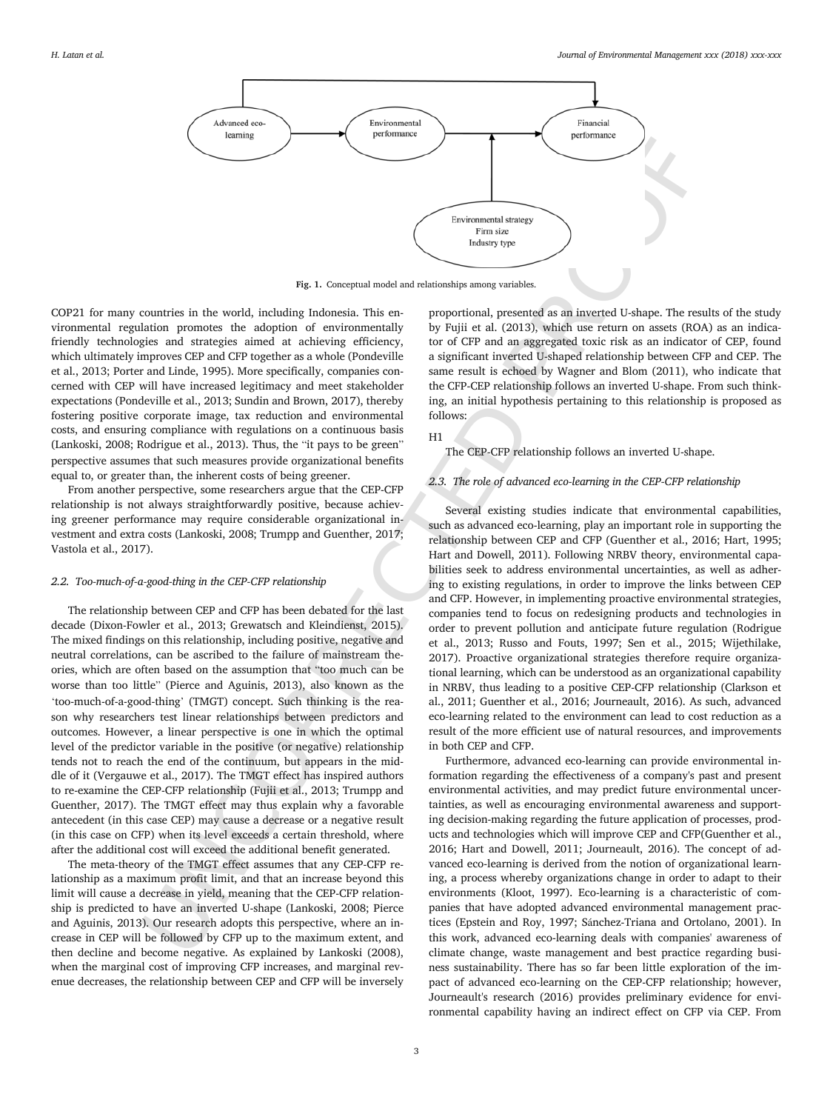

**Fig. 1.** Conceptual model and relationships among variables.

COP21 for many countries in the world, including Indonesia. This environmental regulation promotes the adoption of environmentally friendly technologies and strategies aimed at achieving efficiency, which ultimately improves CEP and CFP together as a whole (Pondeville et al., 2013; Porter and Linde, 1995). More specifically, companies concerned with CEP will have increased legitimacy and meet stakeholder expectations (Pondeville et al., 2013; Sundin and Brown, 2017), thereby fostering positive corporate image, tax reduction and environmental costs, and ensuring compliance with regulations on a continuous basis (Lankoski, 2008; Rodrigue et al., 2013). Thus, the "it pays to be green" perspective assumes that such measures provide organizational benefits equal to, or greater than, the inherent costs of being greener.

From another perspective, some researchers argue that the CEP-CFP relationship is not always straightforwardly positive, because achieving greener performance may require considerable organizational investment and extra costs (Lankoski, 2008; Trumpp and Guenther, 2017; Vastola et al., 2017).

#### *2.2. Too-much-of-a-good-thing in the CEP-CFP relationship*

The relationship between CEP and CFP has been debated for the last decade (Dixon-Fowler et al., 2013; Grewatsch and Kleindienst, 2015). The mixed findings on this relationship, including positive, negative and neutral correlations, can be ascribed to the failure of mainstream theories, which are often based on the assumption that "too much can be worse than too little" (Pierce and Aguinis, 2013), also known as the 'too-much-of-a-good-thing' (TMGT) concept. Such thinking is the reason why researchers test linear relationships between predictors and outcomes. However, a linear perspective is one in which the optimal level of the predictor variable in the positive (or negative) relationship tends not to reach the end of the continuum, but appears in the middle of it (Vergauwe et al., 2017). The TMGT effect has inspired authors to re-examine the CEP-CFP relationship (Fujii et al., 2013; Trumpp and Guenther, 2017). The TMGT effect may thus explain why a favorable antecedent (in this case CEP) may cause a decrease or a negative result (in this case on CFP) when its level exceeds a certain threshold, where after the additional cost will exceed the additional benefit generated.

The meta-theory of the TMGT effect assumes that any CEP-CFP relationship as a maximum profit limit, and that an increase beyond this limit will cause a decrease in yield, meaning that the CEP-CFP relationship is predicted to have an inverted U-shape (Lankoski, 2008; Pierce and Aguinis, 2013). Our research adopts this perspective, where an increase in CEP will be followed by CFP up to the maximum extent, and then decline and become negative. As explained by Lankoski (2008), when the marginal cost of improving CFP increases, and marginal revenue decreases, the relationship between CEP and CFP will be inversely

proportional, presented as an inverted U-shape. The results of the study by Fujii et al. (2013), which use return on assets (ROA) as an indicator of CFP and an aggregated toxic risk as an indicator of CEP, found a significant inverted U-shaped relationship between CFP and CEP. The same result is echoed by Wagner and Blom (2011), who indicate that the CFP-CEP relationship follows an inverted U-shape. From such thinking, an initial hypothesis pertaining to this relationship is proposed as follows:

#### H1

The CEP-CFP relationship follows an inverted U-shape.

#### *2.3. The role of advanced eco-learning in the CEP-CFP relationship*

Counterior in the total method in the continuous continuous continuous continuous continuous continuous continuous continuous continuous continuous continuous continuous continuous continuous continuous continuous continu Several existing studies indicate that environmental capabilities, such as advanced eco-learning, play an important role in supporting the relationship between CEP and CFP (Guenther et al., 2016; Hart, 1995; Hart and Dowell, 2011). Following NRBV theory, environmental capabilities seek to address environmental uncertainties, as well as adhering to existing regulations, in order to improve the links between CEP and CFP. However, in implementing proactive environmental strategies, companies tend to focus on redesigning products and technologies in order to prevent pollution and anticipate future regulation (Rodrigue et al., 2013; Russo and Fouts, 1997; Sen et al., 2015; Wijethilake, 2017). Proactive organizational strategies therefore require organizational learning, which can be understood as an organizational capability in NRBV, thus leading to a positive CEP-CFP relationship (Clarkson et al., 2011; Guenther et al., 2016; Journeault, 2016). As such, advanced eco-learning related to the environment can lead to cost reduction as a result of the more efficient use of natural resources, and improvements in both CEP and CFP.

Furthermore, advanced eco-learning can provide environmental information regarding the effectiveness of a company's past and present environmental activities, and may predict future environmental uncertainties, as well as encouraging environmental awareness and supporting decision-making regarding the future application of processes, products and technologies which will improve CEP and CFP(Guenther et al., 2016; Hart and Dowell, 2011; Journeault, 2016). The concept of advanced eco-learning is derived from the notion of organizational learning, a process whereby organizations change in order to adapt to their environments (Kloot, 1997). Eco-learning is a characteristic of companies that have adopted advanced environmental management practices (Epstein and Roy, 1997; Sánchez-Triana and Ortolano, 2001). In this work, advanced eco-learning deals with companies' awareness of climate change, waste management and best practice regarding business sustainability. There has so far been little exploration of the impact of advanced eco-learning on the CEP-CFP relationship; however, Journeault's research (2016) provides preliminary evidence for environmental capability having an indirect effect on CFP via CEP. From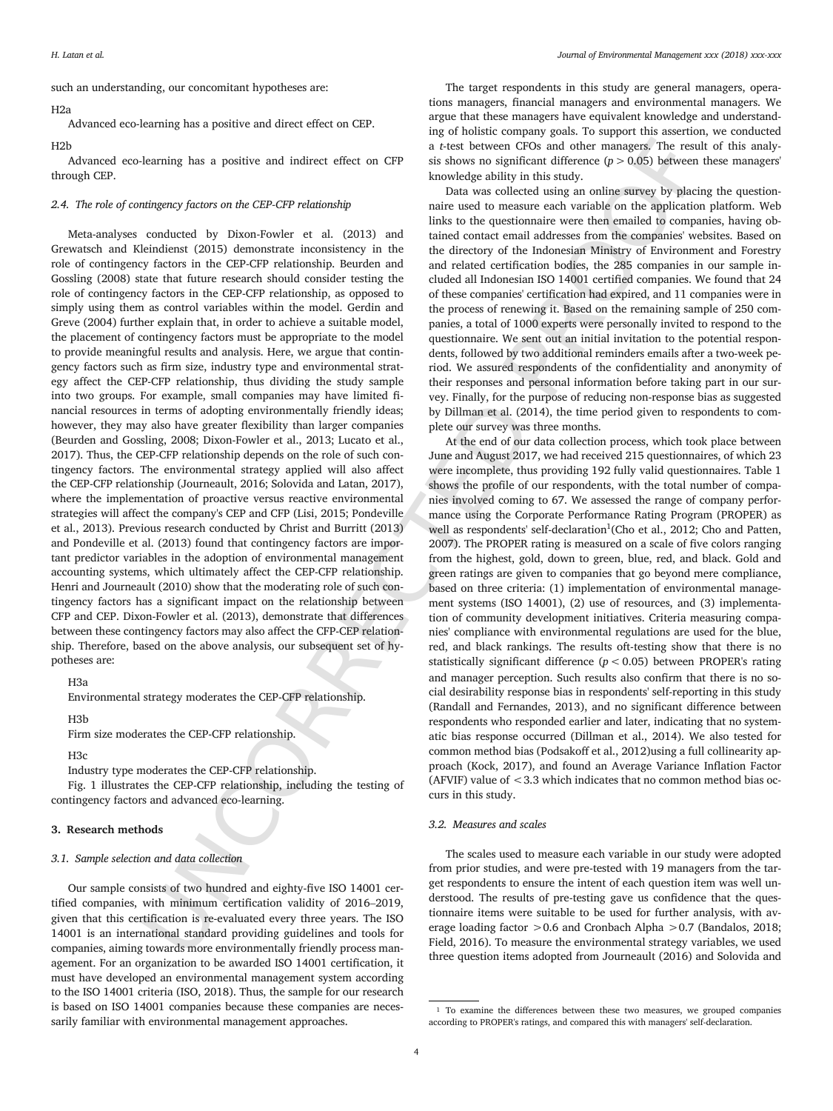such an understanding, our concomitant hypotheses are:

#### H2a

Advanced eco-learning has a positive and direct effect on CEP.

#### H<sub>2</sub>h

Advanced eco-learning has a positive and indirect effect on CFP through CEP.

## *2.4. The role of contingency factors on the CEP-CFP relationship*

beaming has a positive and indirect effect on  $\mathbb{C}^n$  is those between COO, and other managers The result of the system of the system of the system of the system of the system of the system of the system of the system Meta-analyses conducted by Dixon-Fowler et al. (2013) and Grewatsch and Kleindienst (2015) demonstrate inconsistency in the role of contingency factors in the CEP-CFP relationship. Beurden and Gossling (2008) state that future research should consider testing the role of contingency factors in the CEP-CFP relationship, as opposed to simply using them as control variables within the model. Gerdin and Greve (2004) further explain that, in order to achieve a suitable model, the placement of contingency factors must be appropriate to the model to provide meaningful results and analysis. Here, we argue that contingency factors such as firm size, industry type and environmental strategy affect the CEP-CFP relationship, thus dividing the study sample into two groups. For example, small companies may have limited financial resources in terms of adopting environmentally friendly ideas; however, they may also have greater flexibility than larger companies (Beurden and Gossling, 2008; Dixon-Fowler et al., 2013; Lucato et al., 2017). Thus, the CEP-CFP relationship depends on the role of such contingency factors. The environmental strategy applied will also affect the CEP-CFP relationship (Journeault, 2016; Solovida and Latan, 2017), where the implementation of proactive versus reactive environmental strategies will affect the company's CEP and CFP (Lisi, 2015; Pondeville et al., 2013). Previous research conducted by Christ and Burritt (2013) and Pondeville et al. (2013) found that contingency factors are important predictor variables in the adoption of environmental management accounting systems, which ultimately affect the CEP-CFP relationship. Henri and Journeault (2010) show that the moderating role of such contingency factors has a significant impact on the relationship between CFP and CEP. Dixon-Fowler et al. (2013), demonstrate that differences between these contingency factors may also affect the CFP-CEP relationship. Therefore, based on the above analysis, our subsequent set of hypotheses are:

H3a

Environmental strategy moderates the CEP-CFP relationship.

H3b

Firm size moderates the CEP-CFP relationship.

H3c

Industry type moderates the CEP-CFP relationship.

Fig. 1 illustrates the CEP-CFP relationship, including the testing of contingency factors and advanced eco-learning.

## **3. Research methods**

## *3.1. Sample selection and data collection*

Our sample consists of two hundred and eighty-five ISO 14001 certified companies, with minimum certification validity of 2016–2019, given that this certification is re-evaluated every three years. The ISO 14001 is an international standard providing guidelines and tools for companies, aiming towards more environmentally friendly process management. For an organization to be awarded ISO 14001 certification, it must have developed an environmental management system according to the ISO 14001 criteria (ISO, 2018). Thus, the sample for our research is based on ISO 14001 companies because these companies are necessarily familiar with environmental management approaches.

The target respondents in this study are general managers, operations managers, financial managers and environmental managers. We argue that these managers have equivalent knowledge and understanding of holistic company goals. To support this assertion, we conducted a *t*-test between CFOs and other managers. The result of this analysis shows no significant difference  $(p > 0.05)$  between these managers' knowledge ability in this study.

Data was collected using an online survey by placing the questionnaire used to measure each variable on the application platform. Web links to the questionnaire were then emailed to companies, having obtained contact email addresses from the companies' websites. Based on the directory of the Indonesian Ministry of Environment and Forestry and related certification bodies, the 285 companies in our sample included all Indonesian ISO 14001 certified companies. We found that 24 of these companies' certification had expired, and 11 companies were in the process of renewing it. Based on the remaining sample of 250 companies, a total of 1000 experts were personally invited to respond to the questionnaire. We sent out an initial invitation to the potential respondents, followed by two additional reminders emails after a two-week period. We assured respondents of the confidentiality and anonymity of their responses and personal information before taking part in our survey. Finally, for the purpose of reducing non-response bias as suggested by Dillman et al. (2014), the time period given to respondents to complete our survey was three months.

At the end of our data collection process, which took place between June and August 2017, we had received 215 questionnaires, of which 23 were incomplete, thus providing 192 fully valid questionnaires. Table 1 shows the profile of our respondents, with the total number of companies involved coming to 67. We assessed the range of company performance using the Corporate Performance Rating Program (PROPER) as well as respondents' self-declaration<sup>1</sup>(Cho et al., 2012; Cho and Patten, 2007). The PROPER rating is measured on a scale of five colors ranging from the highest, gold, down to green, blue, red, and black. Gold and green ratings are given to companies that go beyond mere compliance, based on three criteria: (1) implementation of environmental management systems (ISO 14001), (2) use of resources, and (3) implementation of community development initiatives. Criteria measuring companies' compliance with environmental regulations are used for the blue, red, and black rankings. The results oft-testing show that there is no statistically significant difference  $(p < 0.05)$  between PROPER's rating and manager perception. Such results also confirm that there is no social desirability response bias in respondents' self-reporting in this study (Randall and Fernandes, 2013), and no significant difference between respondents who responded earlier and later, indicating that no systematic bias response occurred (Dillman et al., 2014). We also tested for common method bias (Podsakoff et al., 2012)using a full collinearity approach (Kock, 2017), and found an Average Variance Inflation Factor (AFVIF) value of  $<$  3.3 which indicates that no common method bias occurs in this study.

## *3.2. Measures and scales*

The scales used to measure each variable in our study were adopted from prior studies, and were pre-tested with 19 managers from the target respondents to ensure the intent of each question item was well understood. The results of pre-testing gave us confidence that the questionnaire items were suitable to be used for further analysis, with average loading factor >0.6 and Cronbach Alpha >0.7 (Bandalos, 2018; Field, 2016). To measure the environmental strategy variables, we used three question items adopted from Journeault (2016) and Solovida and

<sup>&</sup>lt;sup>1</sup> To examine the differences between these two measures, we grouped companies according to PROPER's ratings, and compared this with managers' self-declaration.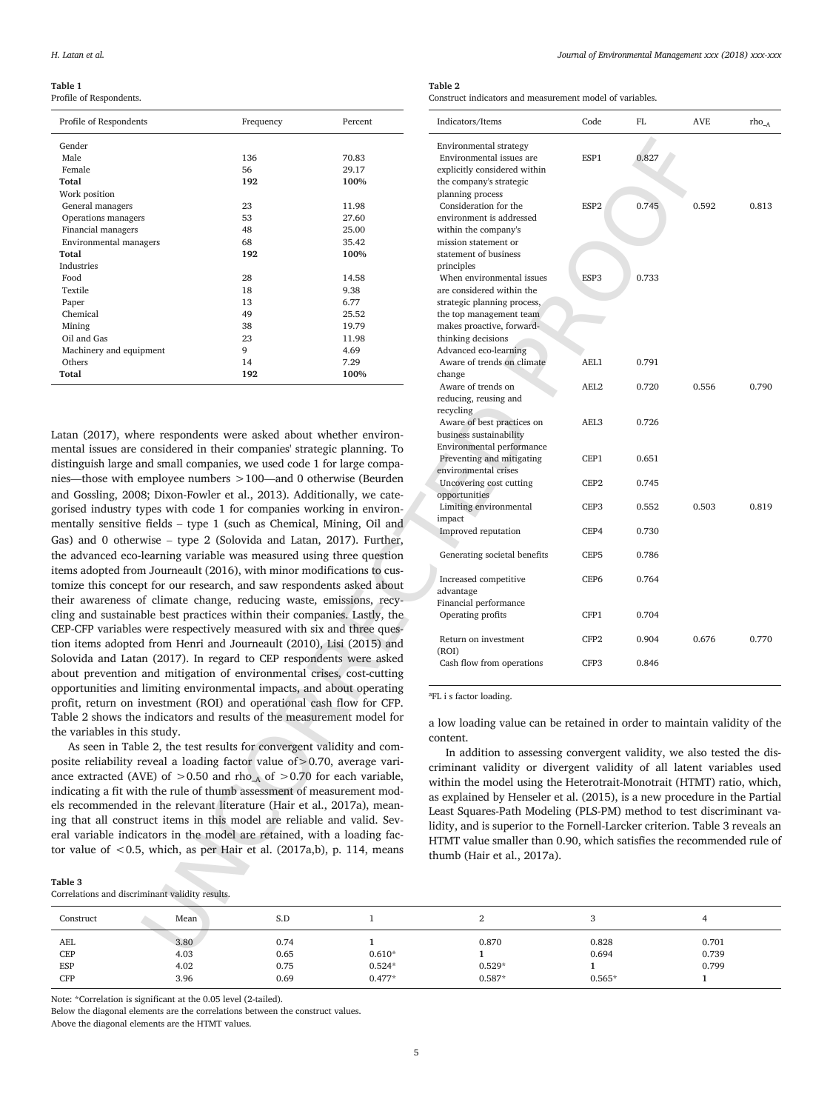#### **Table 1**

Profile of Respondents.

| Profile of Respondents  | Frequency | Percent |
|-------------------------|-----------|---------|
| Gender                  |           |         |
| Male                    | 136       | 70.83   |
| Female                  | 56        | 29.17   |
| Total                   | 192       | 100%    |
| Work position           |           |         |
| General managers        | 23        | 11.98   |
| Operations managers     | 53        | 27.60   |
| Financial managers      | 48        | 25.00   |
| Environmental managers  | 68        | 35.42   |
| Total                   | 192       | 100%    |
| Industries              |           |         |
| Food                    | 28        | 14.58   |
| Textile                 | 18        | 9.38    |
| Paper                   | 13        | 6.77    |
| Chemical                | 49        | 25.52   |
| Mining                  | 38        | 19.79   |
| Oil and Gas             | 23        | 11.98   |
| Machinery and equipment | 9         | 4.69    |
| Others                  | 14        | 7.29    |
| Total                   | 192       | 100%    |

Latan (2017), where respondents were asked about whether environmental issues are considered in their companies' strategic planning. To distinguish large and small companies, we used code 1 for large companies—those with employee numbers >100—and 0 otherwise (Beurden and Gossling, 2008; Dixon-Fowler et al., 2013). Additionally, we categorised industry types with code 1 for companies working in environmentally sensitive fields – type 1 (such as Chemical, Mining, Oil and Gas) and 0 otherwise – type 2 (Solovida and Latan, 2017). Further, the advanced eco-learning variable was measured using three question items adopted from Journeault (2016), with minor modifications to customize this concept for our research, and saw respondents asked about their awareness of climate change, reducing waste, emissions, recycling and sustainable best practices within their companies. Lastly, the CEP-CFP variables were respectively measured with six and three question items adopted from Henri and Journeault (2010), Lisi (2015) and Solovida and Latan (2017). In regard to CEP respondents were asked about prevention and mitigation of environmental crises, cost-cutting opportunities and limiting environmental impacts, and about operating profit, return on investment (ROI) and operational cash flow for CFP. Table 2 shows the indicators and results of the measurement model for the variables in this study.

As seen in Table 2, the test results for convergent validity and composite reliability reveal a loading factor value of>0.70, average variance extracted (AVE) of  $>0.50$  and rho<sub>-A</sub> of  $>0.70$  for each variable, indicating a fit with the rule of thumb assessment of measurement models recommended in the relevant literature (Hair et al., 2017a), meaning that all construct items in this model are reliable and valid. Several variable indicators in the model are retained, with a loading factor value of  $<$  0.5, which, as per Hair et al. (2017a,b), p. 114, means

| × |  |
|---|--|
|   |  |

Correlations and discriminant validity results.

| Construct                | Mean                 | S.D                  |                      |                   |                |                         |  |
|--------------------------|----------------------|----------------------|----------------------|-------------------|----------------|-------------------------|--|
| AEL<br><b>CEP</b><br>ESP | 3.80<br>4.03<br>4.02 | 0.74<br>0.65<br>0.75 | $0.610*$<br>$0.524*$ | 0.870<br>$0.529*$ | 0.828<br>0.694 | 0.701<br>0.739<br>0.799 |  |
| <b>CFP</b>               | 3.96                 | 0.69                 | $0.477*$             | $0.587*$          | $0.565*$       |                         |  |

Note: \*Correlation is significant at the 0.05 level (2-tailed).

Below the diagonal elements are the correlations between the construct values.

Above the diagonal elements are the HTMT values.

**Table 2**

Construct indicators and measurement model of variables.

| ts                       | Frequency                                                          | Percent       | Indicators/Items                                                             | Code             | FL    | <b>AVE</b>     | $rho_A$ |
|--------------------------|--------------------------------------------------------------------|---------------|------------------------------------------------------------------------------|------------------|-------|----------------|---------|
|                          |                                                                    |               | Environmental strategy                                                       |                  |       |                |         |
|                          | 136                                                                | 70.83         | Environmental issues are                                                     | ESP1             | 0.827 |                |         |
|                          | 56                                                                 | 29.17         | explicitly considered within                                                 |                  |       |                |         |
|                          | 192                                                                | 100%          | the company's strategic<br>planning process                                  |                  |       |                |         |
|                          | 23                                                                 | 11.98         | Consideration for the                                                        | ESP <sub>2</sub> | 0.745 | 0.592          | 0.813   |
| S                        | 53                                                                 | 27.60         | environment is addressed                                                     |                  |       |                |         |
|                          | 48                                                                 | 25.00         | within the company's                                                         |                  |       |                |         |
| agers                    | 68                                                                 | 35.42         | mission statement or                                                         |                  |       |                |         |
|                          | 192                                                                | 100%          | statement of business                                                        |                  |       |                |         |
|                          |                                                                    |               | principles                                                                   |                  |       |                |         |
|                          | 28                                                                 | 14.58         | When environmental issues                                                    | ESP <sub>3</sub> | 0.733 |                |         |
|                          | 18                                                                 | 9.38          | are considered within the                                                    |                  |       |                |         |
|                          | 13                                                                 | 6.77          | strategic planning process,                                                  |                  |       |                |         |
|                          | 49                                                                 | 25.52         | the top management team                                                      |                  |       |                |         |
|                          | 38                                                                 | 19.79         | makes proactive, forward-                                                    |                  |       |                |         |
|                          | 23                                                                 | 11.98         | thinking decisions                                                           |                  |       |                |         |
| pment                    | 9                                                                  | 4.69          | Advanced eco-learning                                                        |                  |       |                |         |
|                          | 14                                                                 | 7.29          | Aware of trends on climate                                                   | AEL1             | 0.791 |                |         |
|                          | 192                                                                | 100%          | change                                                                       |                  |       |                |         |
|                          |                                                                    |               |                                                                              |                  |       | 0.556          | 0.790   |
|                          |                                                                    |               | Aware of trends on                                                           | AEL <sub>2</sub> | 0.720 |                |         |
|                          |                                                                    |               | reducing, reusing and                                                        |                  |       |                |         |
|                          |                                                                    |               | recycling                                                                    |                  |       |                |         |
|                          |                                                                    |               | Aware of best practices on                                                   | AEL <sub>3</sub> | 0.726 |                |         |
|                          | ere respondents were asked about whether environ-                  |               | business sustainability                                                      |                  |       |                |         |
|                          | considered in their companies' strategic planning. To              |               | Environmental performance                                                    |                  |       |                |         |
|                          | nd small companies, we used code 1 for large compa-                |               | Preventing and mitigating                                                    | CEP1             | 0.651 |                |         |
|                          | employee numbers >100—and 0 otherwise (Beurden                     |               | environmental crises                                                         |                  |       |                |         |
|                          |                                                                    |               | Uncovering cost cutting                                                      | CEP <sub>2</sub> | 0.745 |                |         |
|                          | 8; Dixon-Fowler et al., 2013). Additionally, we cate-              |               | opportunities                                                                |                  |       |                |         |
|                          | ypes with code 1 for companies working in environ-                 |               | Limiting environmental                                                       | CEP <sub>3</sub> | 0.552 | 0.503          | 0.819   |
|                          | fields - type 1 (such as Chemical, Mining, Oil and                 |               | impact                                                                       |                  |       |                |         |
|                          |                                                                    |               | <b>Improved</b> reputation                                                   | CEP4             | 0.730 |                |         |
|                          | wise - type 2 (Solovida and Latan, 2017). Further,                 |               |                                                                              |                  |       |                |         |
|                          | learning variable was measured using three question                |               | Generating societal benefits                                                 | CEP <sub>5</sub> | 0.786 |                |         |
|                          | n Journeault (2016), with minor modifications to cus-              |               |                                                                              |                  |       |                |         |
|                          |                                                                    |               | Increased competitive                                                        | CEP <sub>6</sub> | 0.764 |                |         |
|                          | ot for our research, and saw respondents asked about               |               | advantage                                                                    |                  |       |                |         |
|                          | of climate change, reducing waste, emissions, recy-                |               | Financial performance                                                        |                  |       |                |         |
|                          | ble best practices within their companies. Lastly, the             |               | Operating profits                                                            | CFP1             | 0.704 |                |         |
|                          | were respectively measured with six and three ques-                |               |                                                                              |                  |       |                |         |
|                          | d from Henri and Journeault (2010), Lisi (2015) and                |               | Return on investment                                                         | CFP <sub>2</sub> | 0.904 | 0.676          | 0.770   |
|                          |                                                                    |               | (ROI)                                                                        |                  |       |                |         |
|                          | n (2017). In regard to CEP respondents were asked                  |               | Cash flow from operations                                                    | CFP3             | 0.846 |                |         |
|                          | and mitigation of environmental crises, cost-cutting               |               |                                                                              |                  |       |                |         |
|                          | limiting environmental impacts, and about operating                |               |                                                                              |                  |       |                |         |
|                          | nvestment (ROI) and operational cash flow for CFP.                 |               | <sup>a</sup> FL i s factor loading.                                          |                  |       |                |         |
|                          |                                                                    |               |                                                                              |                  |       |                |         |
|                          | indicators and results of the measurement model for                |               | a low loading value can be retained in order to maintain validity of the     |                  |       |                |         |
| is study.                |                                                                    |               |                                                                              |                  |       |                |         |
|                          | le 2, the test results for convergent validity and com-            |               | content.                                                                     |                  |       |                |         |
|                          | eveal a loading factor value of > 0.70, average vari-              |               | In addition to assessing convergent validity, we also tested the dis-        |                  |       |                |         |
|                          |                                                                    |               | criminant validity or divergent validity of all latent variables used        |                  |       |                |         |
|                          | VE) of $>0.50$ and rho <sub>-A</sub> of $>0.70$ for each variable, |               | within the model using the Heterotrait-Monotrait (HTMT) ratio, which,        |                  |       |                |         |
|                          | h the rule of thumb assessment of measurement mod-                 |               |                                                                              |                  |       |                |         |
|                          | in the relevant literature (Hair et al., 2017a), mean-             |               | as explained by Henseler et al. (2015), is a new procedure in the Partial    |                  |       |                |         |
|                          | uct items in this model are reliable and valid. Sev-               |               | Least Squares-Path Modeling (PLS-PM) method to test discriminant va-         |                  |       |                |         |
|                          |                                                                    |               | lidity, and is superior to the Fornell-Larcker criterion. Table 3 reveals an |                  |       |                |         |
|                          | ators in the model are retained, with a loading fac-               |               | HTMT value smaller than 0.90, which satisfies the recommended rule of        |                  |       |                |         |
|                          | , which, as per Hair et al. (2017a,b), p. 114, means               |               |                                                                              |                  |       |                |         |
|                          |                                                                    |               | thumb (Hair et al., 2017a).                                                  |                  |       |                |         |
|                          |                                                                    |               |                                                                              |                  |       |                |         |
| minant validity results. |                                                                    |               |                                                                              |                  |       |                |         |
| Mean                     | S.D                                                                | 1             | 2                                                                            | 3                |       | 4              |         |
|                          |                                                                    |               |                                                                              |                  |       |                |         |
| 3.80<br>4.03             | 0.74<br>0.65                                                       | 1<br>$0.610*$ | 0.870<br>$\mathbf{1}$                                                        | 0.828<br>0.694   |       | 0.701<br>0.739 |         |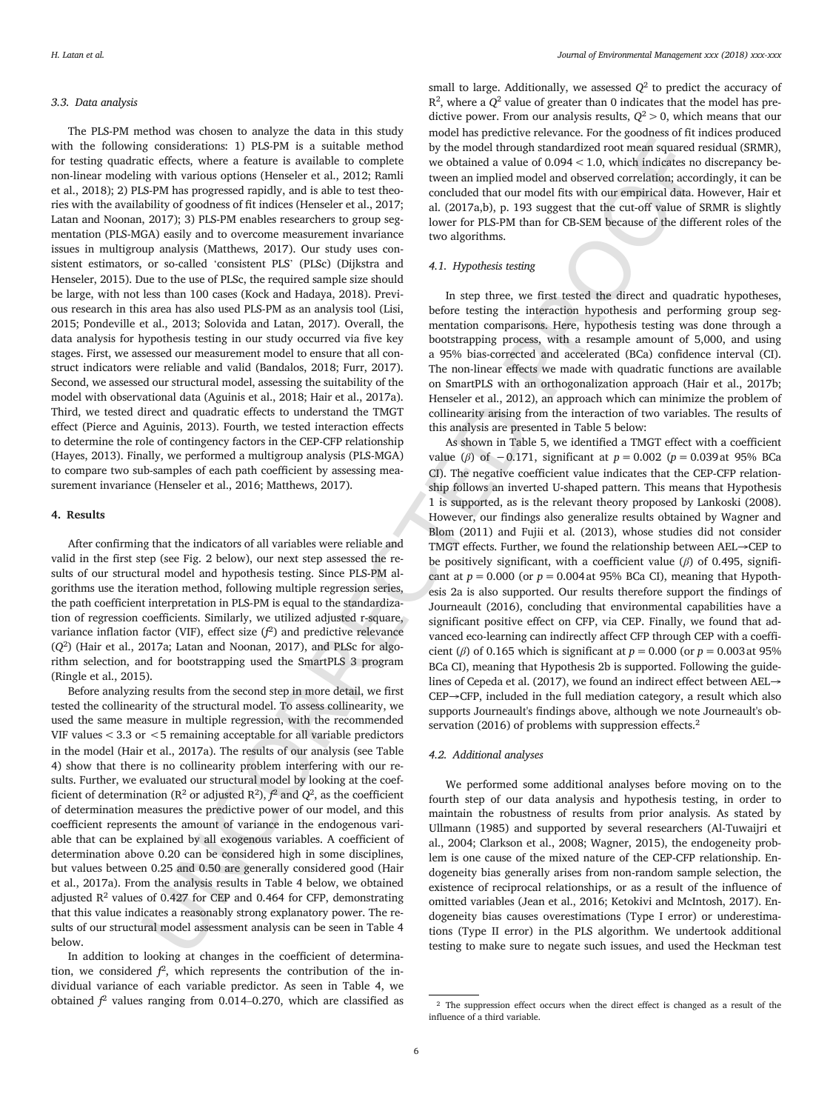#### *3.3. Data analysis*

g considerations: 1) MS is be sainted in reduction and gap the model incourage incomplex and spaced reside to the same of the same of the same of the same of the same of the same of the same of the same of the same of the The PLS-PM method was chosen to analyze the data in this study with the following considerations: 1) PLS-PM is a suitable method for testing quadratic effects, where a feature is available to complete non-linear modeling with various options (Henseler et al., 2012; Ramli et al., 2018); 2) PLS-PM has progressed rapidly, and is able to test theories with the availability of goodness of fit indices (Henseler et al., 2017; Latan and Noonan, 2017); 3) PLS-PM enables researchers to group segmentation (PLS-MGA) easily and to overcome measurement invariance issues in multigroup analysis (Matthews, 2017). Our study uses consistent estimators, or so-called 'consistent PLS' (PLSc) (Dijkstra and Henseler, 2015). Due to the use of PLSc, the required sample size should be large, with not less than 100 cases (Kock and Hadaya, 2018). Previous research in this area has also used PLS-PM as an analysis tool (Lisi, 2015; Pondeville et al., 2013; Solovida and Latan, 2017). Overall, the data analysis for hypothesis testing in our study occurred via five key stages. First, we assessed our measurement model to ensure that all construct indicators were reliable and valid (Bandalos, 2018; Furr, 2017). Second, we assessed our structural model, assessing the suitability of the model with observational data (Aguinis et al., 2018; Hair et al., 2017a). Third, we tested direct and quadratic effects to understand the TMGT effect (Pierce and Aguinis, 2013). Fourth, we tested interaction effects to determine the role of contingency factors in the CEP-CFP relationship (Hayes, 2013). Finally, we performed a multigroup analysis (PLS-MGA) to compare two sub-samples of each path coefficient by assessing measurement invariance (Henseler et al., 2016; Matthews, 2017).

## **4. Results**

After confirming that the indicators of all variables were reliable and valid in the first step (see Fig. 2 below), our next step assessed the results of our structural model and hypothesis testing. Since PLS-PM algorithms use the iteration method, following multiple regression series, the path coefficient interpretation in PLS-PM is equal to the standardization of regression coefficients. Similarly, we utilized adjusted r-square, variance inflation factor (VIF), effect size (*f* 2 ) and predictive relevance  $(Q<sup>2</sup>)$  (Hair et al., 2017a; Latan and Noonan, 2017), and PLSc for algorithm selection, and for bootstrapping used the SmartPLS 3 program (Ringle et al., 2015).

Before analyzing results from the second step in more detail, we first tested the collinearity of the structural model. To assess collinearity, we used the same measure in multiple regression, with the recommended VIF values  $<$  3.3 or  $<$  5 remaining acceptable for all variable predictors in the model (Hair et al., 2017a). The results of our analysis (see Table 4) show that there is no collinearity problem interfering with our results. Further, we evaluated our structural model by looking at the coefficient of determination ( $\mathbb{R}^2$  or adjusted  $\mathbb{R}^2$ ),  $f^2$  and  $Q^2$ , as the coefficient of determination measures the predictive power of our model, and this coefficient represents the amount of variance in the endogenous variable that can be explained by all exogenous variables. A coefficient of determination above 0.20 can be considered high in some disciplines, but values between 0.25 and 0.50 are generally considered good (Hair et al., 2017a). From the analysis results in Table 4 below, we obtained adjusted  $\mathbb{R}^2$  values of 0.427 for CEP and 0.464 for CFP, demonstrating that this value indicates a reasonably strong explanatory power. The results of our structural model assessment analysis can be seen in Table 4 below.

In addition to looking at changes in the coefficient of determination, we considered  $f^2$ , which represents the contribution of the individual variance of each variable predictor. As seen in Table 4, we obtained *f* <sup>2</sup> values ranging from 0.014–0.270, which are classified as

small to large. Additionally, we assessed  $Q<sup>2</sup>$  to predict the accuracy of  $R<sup>2</sup>$ , where a  $Q<sup>2</sup>$  value of greater than 0 indicates that the model has predictive power. From our analysis results,  $Q^2 > 0$ , which means that our model has predictive relevance. For the goodness of fit indices produced by the model through standardized root mean squared residual (SRMR), we obtained a value of  $0.094 < 1.0$ , which indicates no discrepancy between an implied model and observed correlation; accordingly, it can be concluded that our model fits with our empirical data. However, Hair et al. (2017a,b), p. 193 suggest that the cut-off value of SRMR is slightly lower for PLS-PM than for CB-SEM because of the different roles of the two algorithms.

## *4.1. Hypothesis testing*

In step three, we first tested the direct and quadratic hypotheses, before testing the interaction hypothesis and performing group segmentation comparisons. Here, hypothesis testing was done through a bootstrapping process, with a resample amount of 5,000, and using a 95% bias-corrected and accelerated (BCa) confidence interval (CI). The non-linear effects we made with quadratic functions are available on SmartPLS with an orthogonalization approach (Hair et al., 2017b; Henseler et al., 2012), an approach which can minimize the problem of collinearity arising from the interaction of two variables. The results of this analysis are presented in Table 5 below:

As shown in Table 5, we identified a TMGT effect with a coefficient value (*β*) of −0.171, significant at *p*=0.002 (*p*=0.039at 95% BCa CI). The negative coefficient value indicates that the CEP-CFP relationship follows an inverted U-shaped pattern. This means that Hypothesis 1 is supported, as is the relevant theory proposed by Lankoski (2008). However, our findings also generalize results obtained by Wagner and Blom (2011) and Fujii et al. (2013), whose studies did not consider TMGT effects. Further, we found the relationship between AEL→CEP to be positively significant, with a coefficient value (*β*) of 0.495, significant at  $p = 0.000$  (or  $p = 0.004$  at 95% BCa CI), meaning that Hypothesis 2a is also supported. Our results therefore support the findings of Journeault (2016), concluding that environmental capabilities have a significant positive effect on CFP, via CEP. Finally, we found that advanced eco-learning can indirectly affect CFP through CEP with a coefficient ( $\beta$ ) of 0.165 which is significant at  $p = 0.000$  (or  $p = 0.003$  at 95% BCa CI), meaning that Hypothesis 2b is supported. Following the guidelines of Cepeda et al. (2017), we found an indirect effect between AEL→ CEP→CFP, included in the full mediation category, a result which also supports Journeault's findings above, although we note Journeault's observation (2016) of problems with suppression effects.<sup>2</sup>

#### *4.2. Additional analyses*

We performed some additional analyses before moving on to the fourth step of our data analysis and hypothesis testing, in order to maintain the robustness of results from prior analysis. As stated by Ullmann (1985) and supported by several researchers (Al-Tuwaijri et al., 2004; Clarkson et al., 2008; Wagner, 2015), the endogeneity problem is one cause of the mixed nature of the CEP-CFP relationship. Endogeneity bias generally arises from non-random sample selection, the existence of reciprocal relationships, or as a result of the influence of omitted variables (Jean et al., 2016; Ketokivi and McIntosh, 2017). Endogeneity bias causes overestimations (Type I error) or underestimations (Type II error) in the PLS algorithm. We undertook additional testing to make sure to negate such issues, and used the Heckman test

<sup>2</sup> The suppression effect occurs when the direct effect is changed as a result of the influence of a third variable.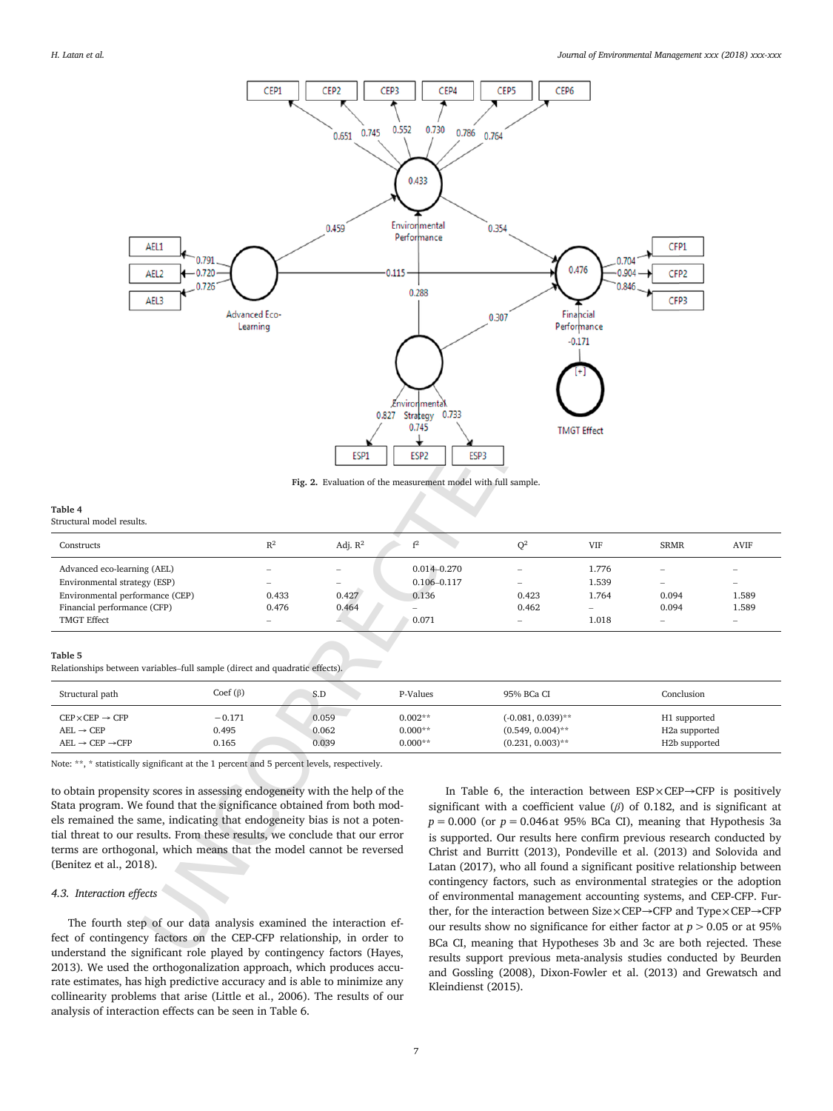

**Fig. 2.** Evaluation of the measurement model with full sample.

#### **Table 4**

Structural model results.

| Constructs                      | $R^2$                    | Adj. $R^2$ |                          | $\Omega^2$               | <b>VIF</b>               | <b>SRMR</b>              | AVIF                     |
|---------------------------------|--------------------------|------------|--------------------------|--------------------------|--------------------------|--------------------------|--------------------------|
| Advanced eco-learning (AEL)     | $\overline{\phantom{a}}$ | $\sim$     | $0.014 - 0.270$          |                          | 1.776                    | $\overline{\phantom{a}}$ |                          |
| Environmental strategy (ESP)    | $\hspace{0.05cm}$        | $\sim$     | $0.106 - 0.117$          | $\overline{\phantom{a}}$ | 1.539                    | $\qquad \qquad$          |                          |
| Environmental performance (CEP) | 0.433                    | 0.427      | 0.136                    | 0.423                    | 1.764                    | 0.094                    | 1.589                    |
| Financial performance (CFP)     | 0.476                    | 0.464      | $\overline{\phantom{a}}$ | 0.462                    | $\overline{\phantom{a}}$ | 0.094                    | 1.589                    |
| <b>TMGT Effect</b>              | $\sim$                   | -          | 0.071                    | $\overline{\phantom{a}}$ | 1.018                    | $\sim$                   | $\overline{\phantom{a}}$ |

#### **Table 5**

Relationships between variables–full sample (direct and quadratic effects).

| Structural path                                                | $Coef(\beta)$  | S.D            | P-Values               | 95% BCa CI                                 | Conclusion                                               |
|----------------------------------------------------------------|----------------|----------------|------------------------|--------------------------------------------|----------------------------------------------------------|
| $CEP \times CEP \rightarrow CFP$                               | $-0.171$       | 0.059          | $0.002**$              | $(-0.081, 0.039)$ **                       | H1 supported                                             |
| $AEL \rightarrow CEP$<br>$AEL \rightarrow CEP \rightarrow CFP$ | 0.495<br>0.165 | 0.062<br>0.039 | $0.000**$<br>$0.000**$ | $(0.549, 0.004)$ **<br>$(0.231, 0.003)$ ** | H <sub>2</sub> a supported<br>H <sub>2</sub> b supported |

Note: \*\*, \* statistically significant at the 1 percent and 5 percent levels, respectively.

to obtain propensity scores in assessing endogeneity with the help of the Stata program. We found that the significance obtained from both models remained the same, indicating that endogeneity bias is not a potential threat to our results. From these results, we conclude that our error terms are orthogonal, which means that the model cannot be reversed (Benitez et al., 2018).

## *4.3. Interaction effects*

The fourth step of our data analysis examined the interaction effect of contingency factors on the CEP-CFP relationship, in order to understand the significant role played by contingency factors (Hayes, 2013). We used the orthogonalization approach, which produces accurate estimates, has high predictive accuracy and is able to minimize any collinearity problems that arise (Little et al., 2006). The results of our analysis of interaction effects can be seen in Table 6.

In Table 6, the interaction between  $ESP \times CEP \rightarrow CFP$  is positively significant with a coefficient value (*β*) of 0.182, and is significant at  $p = 0.000$  (or  $p = 0.046$  at 95% BCa CI), meaning that Hypothesis 3a is supported. Our results here confirm previous research conducted by Christ and Burritt (2013), Pondeville et al. (2013) and Solovida and Latan (2017), who all found a significant positive relationship between contingency factors, such as environmental strategies or the adoption of environmental management accounting systems, and CEP-CFP. Further, for the interaction between Size×CEP→CFP and Type×CEP→CFP our results show no significance for either factor at  $p > 0.05$  or at 95% BCa CI, meaning that Hypotheses 3b and 3c are both rejected. These results support previous meta-analysis studies conducted by Beurden and Gossling (2008), Dixon-Fowler et al. (2013) and Grewatsch and Kleindienst (2015).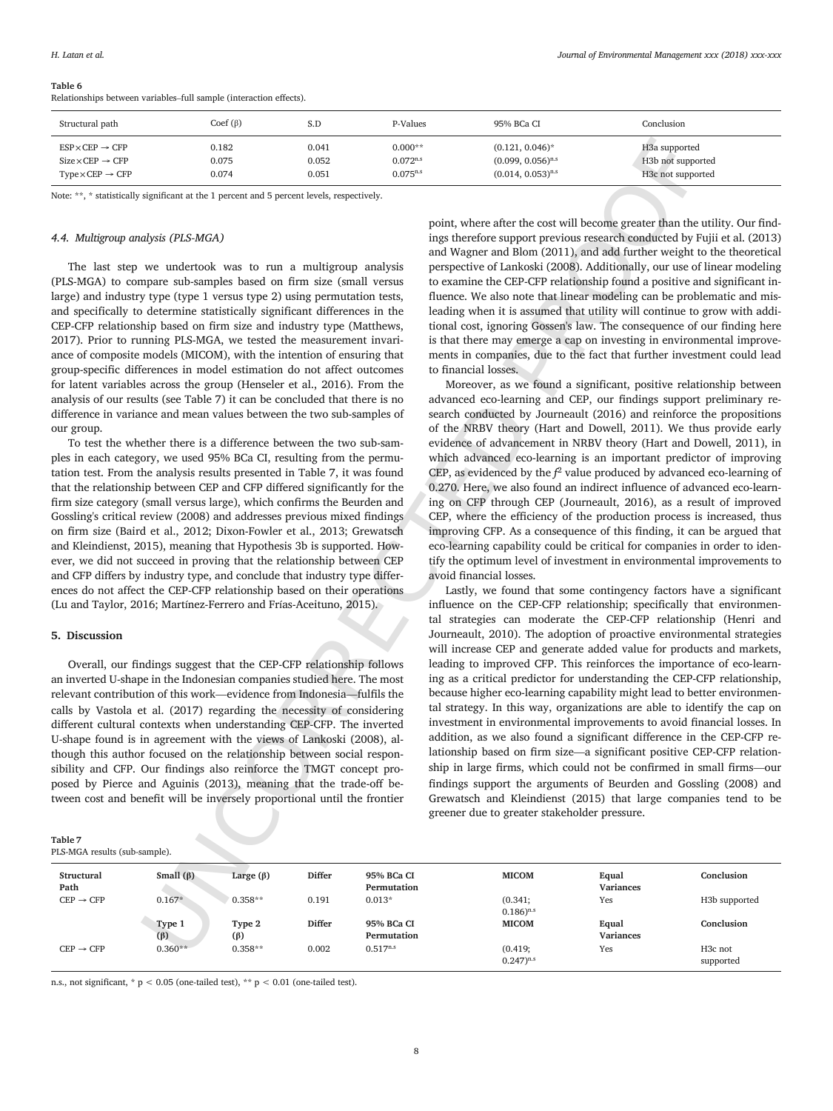#### **Table 6**

Relationships between variables–full sample (interaction effects).

| Structural path                                                       | $Coef(\beta)$  | S.D            | P-Values                            | 95% BCa CI                                   | Conclusion                                      |
|-----------------------------------------------------------------------|----------------|----------------|-------------------------------------|----------------------------------------------|-------------------------------------------------|
| $ESP \times CEP \rightarrow CFP$<br>$Size \times CEP \rightarrow CFP$ | 0.182<br>0.075 | 0.041<br>0.052 | $0.000**$<br>$0.072$ <sup>n.s</sup> | $(0.121, 0.046)^*$<br>$(0.099, 0.056)^{n.s}$ | H3a supported<br>H <sub>3</sub> b not supported |
| $Type \times CEP \rightarrow CFP$                                     | 0.074          | 0.051          | $0.075^{n.s}$                       | $(0.014, 0.053)^{n.s}$                       | H3c not supported                               |

Note: \*\*, \* statistically significant at the 1 percent and 5 percent levels, respectively.

#### *4.4. Multigroup analysis (PLS-MGA)*

The last step we undertook was to run a multigroup analysis (PLS-MGA) to compare sub-samples based on firm size (small versus large) and industry type (type 1 versus type 2) using permutation tests, and specifically to determine statistically significant differences in the CEP-CFP relationship based on firm size and industry type (Matthews, 2017). Prior to running PLS-MGA, we tested the measurement invariance of composite models (MICOM), with the intention of ensuring that group-specific differences in model estimation do not affect outcomes for latent variables across the group (Henseler et al., 2016). From the analysis of our results (see Table 7) it can be concluded that there is no difference in variance and mean values between the two sub-samples of our group.

To test the whether there is a difference between the two sub-samples in each category, we used 95% BCa CI, resulting from the permutation test. From the analysis results presented in Table 7, it was found that the relationship between CEP and CFP differed significantly for the firm size category (small versus large), which confirms the Beurden and Gossling's critical review (2008) and addresses previous mixed findings on firm size (Baird et al., 2012; Dixon-Fowler et al., 2013; Grewatsch and Kleindienst, 2015), meaning that Hypothesis 3b is supported. However, we did not succeed in proving that the relationship between CEP and CFP differs by industry type, and conclude that industry type differences do not affect the CEP-CFP relationship based on their operations (Lu and Taylor, 2016; Martínez-Ferrero and Frías-Aceituno, 2015).

## **5. Discussion**

Overall, our findings suggest that the CEP-CFP relationship follows an inverted U-shape in the Indonesian companies studied here. The most relevant contribution of this work—evidence from Indonesia—fulfils the calls by Vastola et al. (2017) regarding the necessity of considering different cultural contexts when understanding CEP-CFP. The inverted U-shape found is in agreement with the views of Lankoski (2008), although this author focused on the relationship between social responsibility and CFP. Our findings also reinforce the TMGT concept proposed by Pierce and Aguinis (2013), meaning that the trade-off between cost and benefit will be inversely proportional until the frontier

| Table 7                       |  |
|-------------------------------|--|
| PLS-MGA results (sub-sample). |  |

point, where after the cost will become greater than the utility. Our findings therefore support previous research conducted by Fujii et al. (2013) and Wagner and Blom (2011), and add further weight to the theoretical perspective of Lankoski (2008). Additionally, our use of linear modeling to examine the CEP-CFP relationship found a positive and significant influence. We also note that linear modeling can be problematic and misleading when it is assumed that utility will continue to grow with additional cost, ignoring Gossen's law. The consequence of our finding here is that there may emerge a cap on investing in environmental improvements in companies, due to the fact that further investment could lead to financial losses.

Moreover, as we found a significant, positive relationship between advanced eco-learning and CEP, our findings support preliminary research conducted by Journeault (2016) and reinforce the propositions of the NRBV theory (Hart and Dowell, 2011). We thus provide early evidence of advancement in NRBV theory (Hart and Dowell, 2011), in which advanced eco-learning is an important predictor of improving CEP, as evidenced by the  $f^2$  value produced by advanced eco-learning of 0.270. Here, we also found an indirect influence of advanced eco-learning on CFP through CEP (Journeault, 2016), as a result of improved CEP, where the efficiency of the production process is increased, thus improving CFP. As a consequence of this finding, it can be argued that eco-learning capability could be critical for companies in order to identify the optimum level of investment in environmental improvements to avoid financial losses.

0.62 (1007) 0.02 (2008) 0.03 (2008) 0.03 (2008) 0.03 (2008) 0.03 (2008) 1.03 (2008) 1.03 (2008) 1.03 (2008) 1.03 (2008) 1.03 (2008) 1.03 (2008) 1.03 (2008) 1.03 (2008) 1.03 (2008) 1.03 (2008) 1.03 (2008) 1.03 (2008) 1.03 Lastly, we found that some contingency factors have a significant influence on the CEP-CFP relationship; specifically that environmental strategies can moderate the CEP-CFP relationship (Henri and Journeault, 2010). The adoption of proactive environmental strategies will increase CEP and generate added value for products and markets, leading to improved CFP. This reinforces the importance of eco-learning as a critical predictor for understanding the CEP-CFP relationship, because higher eco-learning capability might lead to better environmental strategy. In this way, organizations are able to identify the cap on investment in environmental improvements to avoid financial losses. In addition, as we also found a significant difference in the CEP-CFP relationship based on firm size—a significant positive CEP-CFP relationship in large firms, which could not be confirmed in small firms—our findings support the arguments of Beurden and Gossling (2008) and Grewatsch and Kleindienst (2015) that large companies tend to be greener due to greater stakeholder pressure.

| Structural<br>Path    | Small $(\beta)$     | Large $(\beta)$ | <b>Differ</b> | 95% BCa CI<br>Permutation | <b>MICOM</b>              | Equal<br><b>Variances</b> | Conclusion                        |
|-----------------------|---------------------|-----------------|---------------|---------------------------|---------------------------|---------------------------|-----------------------------------|
| $CEP \rightarrow CFP$ | $0.167*$            | $0.358**$       | 0.191         | $0.013*$                  | (0.341;<br>$0.186)^{n.s}$ | Yes                       | H3b supported                     |
|                       | Type 1<br>$(\beta)$ | Type 2<br>(β)   | <b>Differ</b> | 95% BCa CI<br>Permutation | <b>MICOM</b>              | Equal<br><b>Variances</b> | Conclusion                        |
| $CEP \rightarrow CFP$ | $0.360**$           | $0.358**$       | 0.002         | $0.517^{n.s}$             | (0.419;<br>$0.247)^{n.s}$ | Yes                       | H <sub>3</sub> c not<br>supported |

n.s., not significant,  $* p < 0.05$  (one-tailed test),  $** p < 0.01$  (one-tailed test).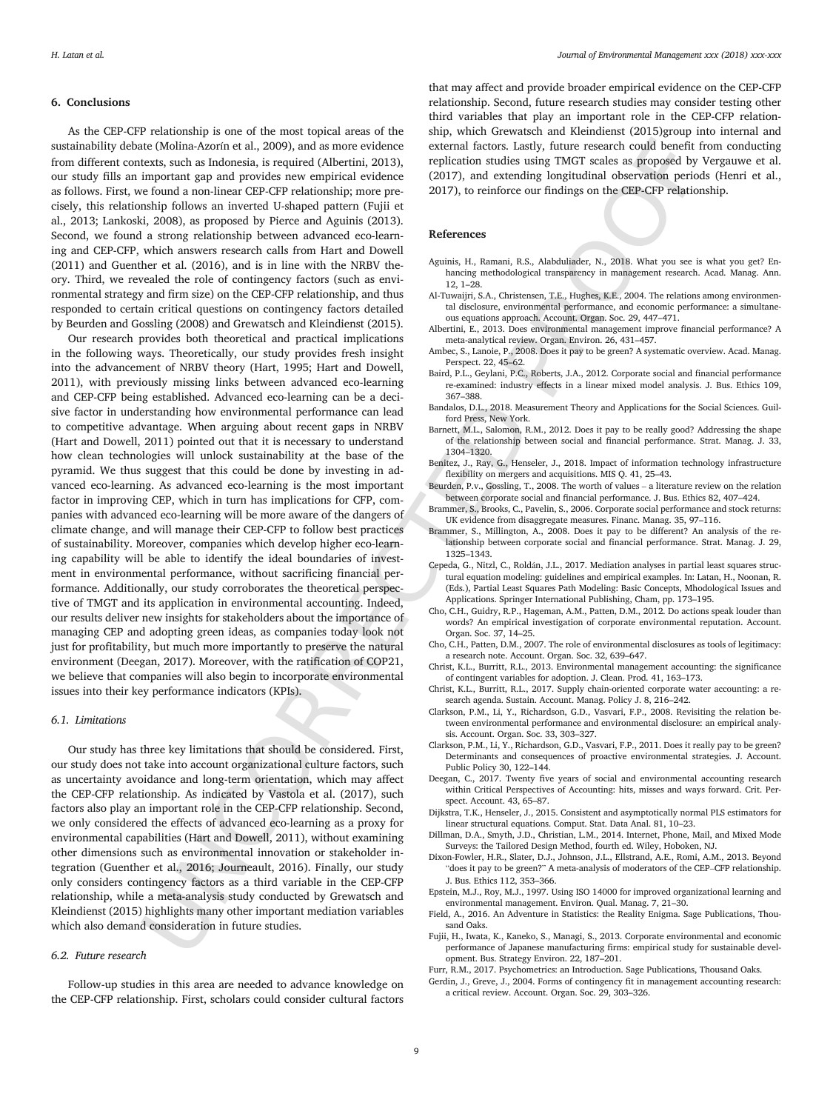#### **6. Conclusions**

As the CEP-CFP relationship is one of the most topical areas of the sustainability debate (Molina-Azorín et al., 2009), and as more evidence from different contexts, such as Indonesia, is required (Albertini, 2013), our study fills an important gap and provides new empirical evidence as follows. First, we found a non-linear CEP-CFP relationship; more precisely, this relationship follows an inverted U-shaped pattern (Fujii et al., 2013; Lankoski, 2008), as proposed by Pierce and Aguinis (2013). Second, we found a strong relationship between advanced eco-learning and CEP-CFP, which answers research calls from Hart and Dowell (2011) and Guenther et al. (2016), and is in line with the NRBV theory. Third, we revealed the role of contingency factors (such as environmental strategy and firm size) on the CEP-CFP relationship, and thus responded to certain critical questions on contingency factors detailed by Beurden and Gossling (2008) and Grewatsch and Kleindienst (2015).

In (Notine And 2000), and an energy reduction in energy function in the stationary and the continue of the continue of the continue of the continue of the continue of the continue of the continue of the continue of the co Our research provides both theoretical and practical implications in the following ways. Theoretically, our study provides fresh insight into the advancement of NRBV theory (Hart, 1995; Hart and Dowell, 2011), with previously missing links between advanced eco-learning and CEP-CFP being established. Advanced eco-learning can be a decisive factor in understanding how environmental performance can lead to competitive advantage. When arguing about recent gaps in NRBV (Hart and Dowell, 2011) pointed out that it is necessary to understand how clean technologies will unlock sustainability at the base of the pyramid. We thus suggest that this could be done by investing in advanced eco-learning. As advanced eco-learning is the most important factor in improving CEP, which in turn has implications for CFP, companies with advanced eco-learning will be more aware of the dangers of climate change, and will manage their CEP-CFP to follow best practices of sustainability. Moreover, companies which develop higher eco-learning capability will be able to identify the ideal boundaries of investment in environmental performance, without sacrificing financial performance. Additionally, our study corroborates the theoretical perspective of TMGT and its application in environmental accounting. Indeed, our results deliver new insights for stakeholders about the importance of managing CEP and adopting green ideas, as companies today look not just for profitability, but much more importantly to preserve the natural environment (Deegan, 2017). Moreover, with the ratification of COP21, we believe that companies will also begin to incorporate environmental issues into their key performance indicators (KPIs).

## *6.1. Limitations*

Our study has three key limitations that should be considered. First, our study does not take into account organizational culture factors, such as uncertainty avoidance and long-term orientation, which may affect the CEP-CFP relationship. As indicated by Vastola et al. (2017), such factors also play an important role in the CEP-CFP relationship. Second, we only considered the effects of advanced eco-learning as a proxy for environmental capabilities (Hart and Dowell, 2011), without examining other dimensions such as environmental innovation or stakeholder integration (Guenther et al., 2016; Journeault, 2016). Finally, our study only considers contingency factors as a third variable in the CEP-CFP relationship, while a meta-analysis study conducted by Grewatsch and Kleindienst (2015) highlights many other important mediation variables which also demand consideration in future studies.

## *6.2. Future research*

Follow-up studies in this area are needed to advance knowledge on the CEP-CFP relationship. First, scholars could consider cultural factors

that may affect and provide broader empirical evidence on the CEP-CFP relationship. Second, future research studies may consider testing other third variables that play an important role in the CEP-CFP relationship, which Grewatsch and Kleindienst (2015)group into internal and external factors. Lastly, future research could benefit from conducting replication studies using TMGT scales as proposed by Vergauwe et al. (2017), and extending longitudinal observation periods (Henri et al., 2017), to reinforce our findings on the CEP-CFP relationship.

## **References**

- Aguinis, H., Ramani, R.S., Alabduliader, N., 2018. What you see is what you get? Enhancing methodological transparency in management research. Acad. Manag. Ann. 12, 1–28.
- Al-Tuwaijri, S.A., Christensen, T.E., Hughes, K.E., 2004. The relations among environmental disclosure, environmental performance, and economic performance: a simultaneous equations approach. Account. Organ. Soc. 29, 447–471.
- Albertini, E., 2013. Does environmental management improve financial performance? A meta-analytical review. Organ. Environ. 26, 431–457.
- Ambec, S., Lanoie, P., 2008. Does it pay to be green? A systematic overview. Acad. Manag. Perspect. 22, 45–62.
- Baird, P.L., Geylani, P.C., Roberts, J.A., 2012. Corporate social and financial performance re-examined: industry effects in a linear mixed model analysis. J. Bus. Ethics 109, 367–388.
- Bandalos, D.L., 2018. Measurement Theory and Applications for the Social Sciences. Guilford Press, New York.
- Barnett, M.L., Salomon, R.M., 2012. Does it pay to be really good? Addressing the shape of the relationship between social and financial performance. Strat. Manag. J. 33, 1304–1320.
- Benitez, J., Ray, G., Henseler, J., 2018. Impact of information technology infrastructure flexibility on mergers and acquisitions. MIS Q. 41, 25–43.
- Beurden, P.v., Gossling, T., 2008. The worth of values a literature review on the relation between corporate social and financial performance. J. Bus. Ethics 82, 407–424.
- Brammer, S., Brooks, C., Pavelin, S., 2006. Corporate social performance and stock returns: UK evidence from disaggregate measures. Financ. Manag. 35, 97–116.
- Brammer, S., Millington, A., 2008. Does it pay to be different? An analysis of the relationship between corporate social and financial performance. Strat. Manag. J. 29, 1325–1343.
- Cepeda, G., Nitzl, C., Roldán, J.L., 2017. Mediation analyses in partial least squares structural equation modeling: guidelines and empirical examples. In: Latan, H., Noonan, R. (Eds.), Partial Least Squares Path Modeling: Basic Concepts, Mhodological Issues and Applications. Springer International Publishing, Cham, pp. 173–195.
- Cho, C.H., Guidry, R.P., Hageman, A.M., Patten, D.M., 2012. Do actions speak louder than words? An empirical investigation of corporate environmental reputation. Account. Organ. Soc. 37, 14–25.
- Cho, C.H., Patten, D.M., 2007. The role of environmental disclosures as tools of legitimacy: a research note. Account. Organ. Soc. 32, 639–647.
- Christ, K.L., Burritt, R.L., 2013. Environmental management accounting: the significance of contingent variables for adoption. J. Clean. Prod. 41, 163–173.
- Christ, K.L., Burritt, R.L., 2017. Supply chain-oriented corporate water accounting: a research agenda. Sustain. Account. Manag. Policy J. 8, 216–242.
- Clarkson, P.M., Li, Y., Richardson, G.D., Vasvari, F.P., 2008. Revisiting the relation between environmental performance and environmental disclosure: an empirical analysis. Account. Organ. Soc. 33, 303–327.
- Clarkson, P.M., Li, Y., Richardson, G.D., Vasvari, F.P., 2011. Does it really pay to be green? Determinants and consequences of proactive environmental strategies. J. Account. Public Policy 30, 122–144.
- Deegan, C., 2017. Twenty five years of social and environmental accounting research within Critical Perspectives of Accounting: hits, misses and ways forward. Crit. Perspect. Account. 43, 65–87.
- Dijkstra, T.K., Henseler, J., 2015. Consistent and asymptotically normal PLS estimators for linear structural equations. Comput. Stat. Data Anal. 81, 10–23.
- Dillman, D.A., Smyth, J.D., Christian, L.M., 2014. Internet, Phone, Mail, and Mixed Mode Surveys: the Tailored Design Method, fourth ed. Wiley, Hoboken, NJ.
- Dixon-Fowler, H.R., Slater, D.J., Johnson, J.L., Ellstrand, A.E., Romi, A.M., 2013. Beyond "does it pay to be green?" A meta-analysis of moderators of the CEP–CFP relationship. J. Bus. Ethics 112, 353–366.
- Epstein, M.J., Roy, M.J., 1997. Using ISO 14000 for improved organizational learning and environmental management. Environ. Qual. Manag. 7, 21–30.
- Field, A., 2016. An Adventure in Statistics: the Reality Enigma. Sage Publications, Thousand Oaks.
- Fujii, H., Iwata, K., Kaneko, S., Managi, S., 2013. Corporate environmental and economic performance of Japanese manufacturing firms: empirical study for sustainable development. Bus. Strategy Environ. 22, 187–201.

Gerdin, J., Greve, J., 2004. Forms of contingency fit in management accounting research: a critical review. Account. Organ. Soc. 29, 303–326.

Furr, R.M., 2017. Psychometrics: an Introduction. Sage Publications, Thousand Oaks.